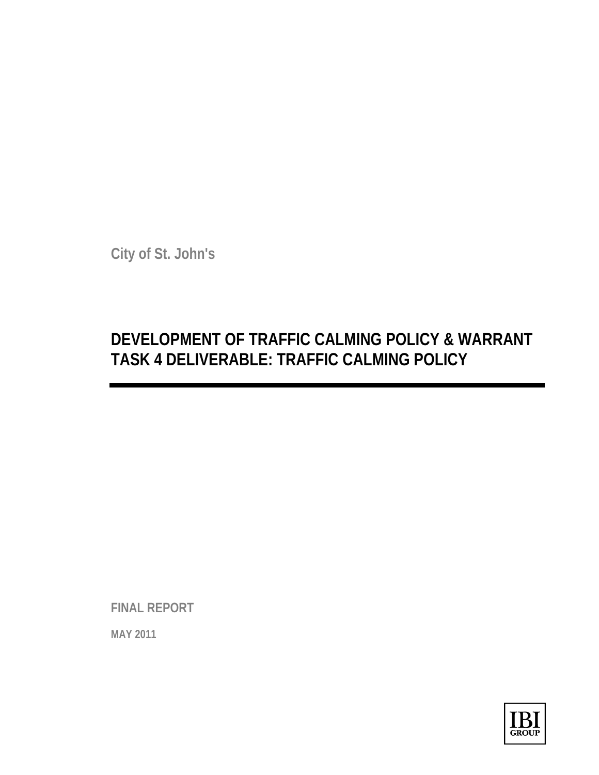**City of St. John's** 

# **DEVELOPMENT OF TRAFFIC CALMING POLICY & WARRANT TASK 4 DELIVERABLE: TRAFFIC CALMING POLICY**

**FINAL REPORT** 

**MAY 2011**

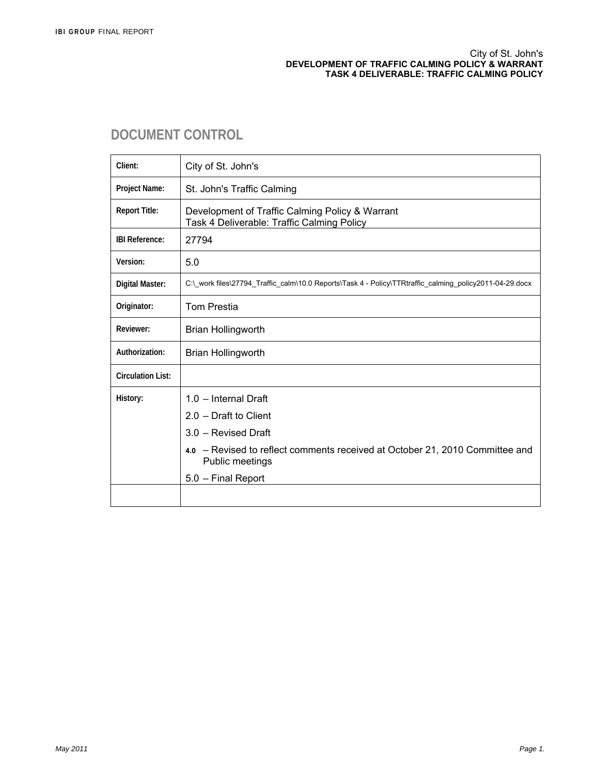#### City of St. John's **DEVELOPMENT OF TRAFFIC CALMING POLICY & WARRANT TASK 4 DELIVERABLE: TRAFFIC CALMING POLICY**

## **DOCUMENT CONTROL**

| Client:                  | City of St. John's                                                                                      |
|--------------------------|---------------------------------------------------------------------------------------------------------|
| Project Name:            | St. John's Traffic Calming                                                                              |
| <b>Report Title:</b>     | Development of Traffic Calming Policy & Warrant<br>Task 4 Deliverable: Traffic Calming Policy           |
| <b>IBI Reference:</b>    | 27794                                                                                                   |
| Version:                 | 5.0                                                                                                     |
| <b>Digital Master:</b>   | C:\ work files\27794 Traffic calm\10.0 Reports\Task 4 - Policy\TTRtraffic calming policy2011-04-29.docx |
| Originator:              | <b>Tom Prestia</b>                                                                                      |
| Reviewer:                | <b>Brian Hollingworth</b>                                                                               |
| Authorization:           | <b>Brian Hollingworth</b>                                                                               |
| <b>Circulation List:</b> |                                                                                                         |
| History:                 | $1.0$ – Internal Draft                                                                                  |
|                          | $2.0 - Draff$ to Client                                                                                 |
|                          | 3.0 - Revised Draft                                                                                     |
|                          | 4.0 - Revised to reflect comments received at October 21, 2010 Committee and<br>Public meetings         |
|                          | 5.0 - Final Report                                                                                      |
|                          |                                                                                                         |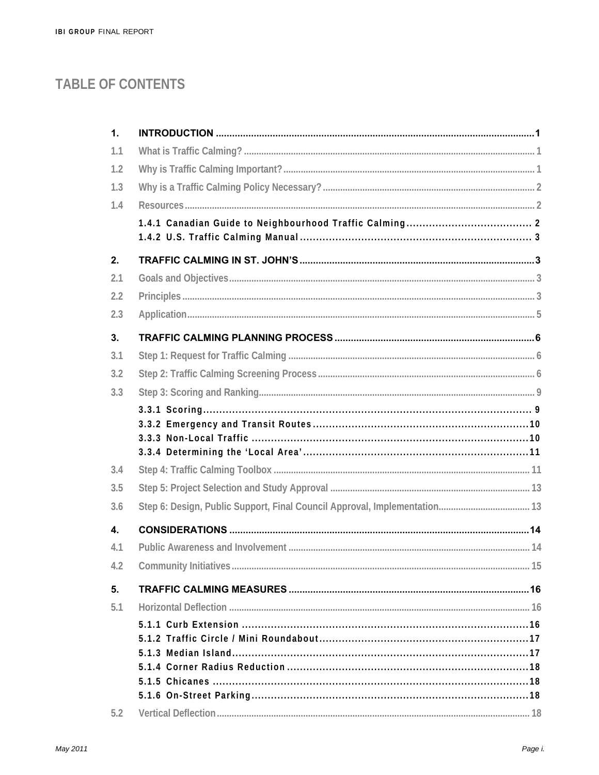# **TABLE OF CONTENTS**

| 1.  |                                                                           |  |
|-----|---------------------------------------------------------------------------|--|
| 1.1 |                                                                           |  |
| 1.2 |                                                                           |  |
| 1.3 |                                                                           |  |
| 1.4 |                                                                           |  |
|     |                                                                           |  |
| 2.  |                                                                           |  |
| 2.1 |                                                                           |  |
| 2.2 |                                                                           |  |
| 2.3 |                                                                           |  |
| 3.  |                                                                           |  |
| 3.1 |                                                                           |  |
| 3.2 |                                                                           |  |
| 3.3 |                                                                           |  |
|     |                                                                           |  |
| 3.4 |                                                                           |  |
| 3.5 |                                                                           |  |
| 3.6 | Step 6: Design, Public Support, Final Council Approval, Implementation 13 |  |
| 4.  |                                                                           |  |
| 4.1 |                                                                           |  |
|     |                                                                           |  |
| 5.  |                                                                           |  |
| 5.1 |                                                                           |  |
|     |                                                                           |  |
|     |                                                                           |  |
|     |                                                                           |  |
|     |                                                                           |  |
|     |                                                                           |  |
| 5.2 |                                                                           |  |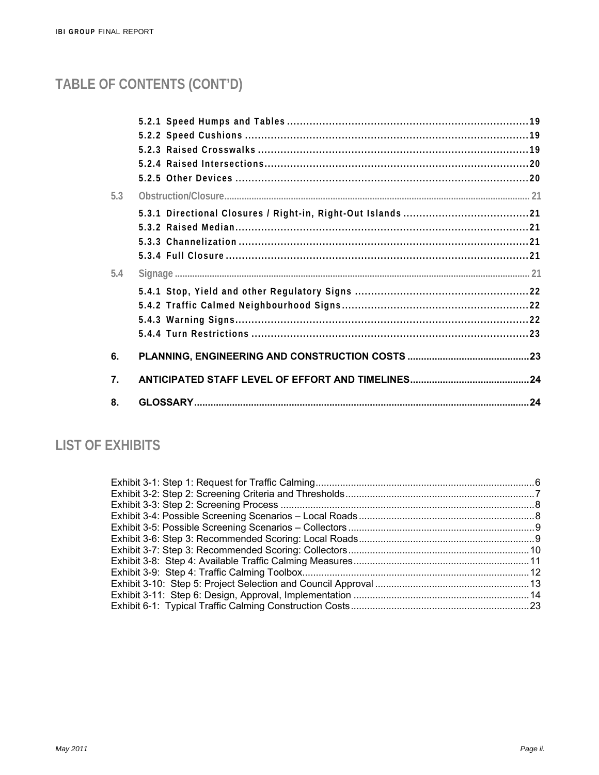# TABLE OF CONTENTS (CONT'D)

| 5.3<br>5.4<br>6.<br>7.<br>8. |  |  |
|------------------------------|--|--|
|                              |  |  |
|                              |  |  |
|                              |  |  |
|                              |  |  |
|                              |  |  |
|                              |  |  |
|                              |  |  |
|                              |  |  |
|                              |  |  |
|                              |  |  |
|                              |  |  |
|                              |  |  |
|                              |  |  |
|                              |  |  |
|                              |  |  |
|                              |  |  |
|                              |  |  |

## **LIST OF EXHIBITS**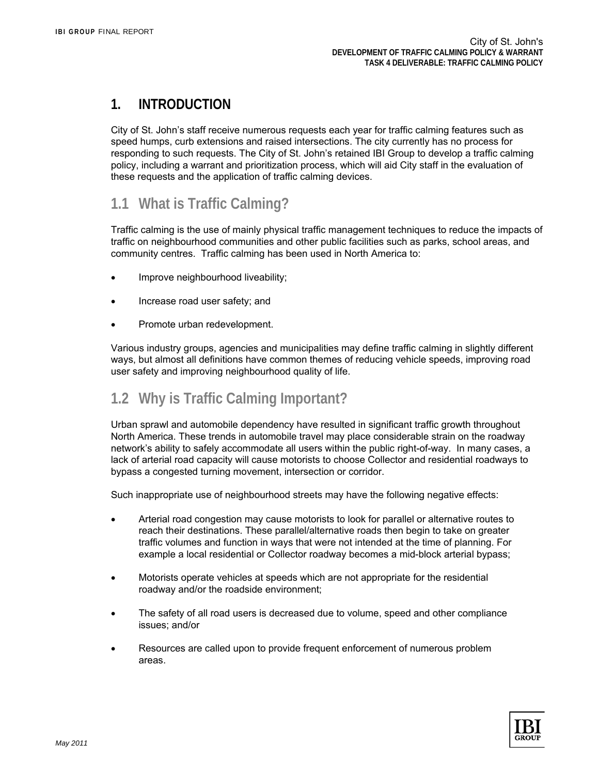## **1. INTRODUCTION**

City of St. John's staff receive numerous requests each year for traffic calming features such as speed humps, curb extensions and raised intersections. The city currently has no process for responding to such requests. The City of St. John's retained IBI Group to develop a traffic calming policy, including a warrant and prioritization process, which will aid City staff in the evaluation of these requests and the application of traffic calming devices.

## **1.1 What is Traffic Calming?**

Traffic calming is the use of mainly physical traffic management techniques to reduce the impacts of traffic on neighbourhood communities and other public facilities such as parks, school areas, and community centres. Traffic calming has been used in North America to:

- Improve neighbourhood liveability;
- Increase road user safety; and
- Promote urban redevelopment.

Various industry groups, agencies and municipalities may define traffic calming in slightly different ways, but almost all definitions have common themes of reducing vehicle speeds, improving road user safety and improving neighbourhood quality of life.

## **1.2 Why is Traffic Calming Important?**

Urban sprawl and automobile dependency have resulted in significant traffic growth throughout North America. These trends in automobile travel may place considerable strain on the roadway network's ability to safely accommodate all users within the public right-of-way. In many cases, a lack of arterial road capacity will cause motorists to choose Collector and residential roadways to bypass a congested turning movement, intersection or corridor.

Such inappropriate use of neighbourhood streets may have the following negative effects:

- Arterial road congestion may cause motorists to look for parallel or alternative routes to reach their destinations. These parallel/alternative roads then begin to take on greater traffic volumes and function in ways that were not intended at the time of planning. For example a local residential or Collector roadway becomes a mid-block arterial bypass;
- Motorists operate vehicles at speeds which are not appropriate for the residential roadway and/or the roadside environment;
- The safety of all road users is decreased due to volume, speed and other compliance issues; and/or
- Resources are called upon to provide frequent enforcement of numerous problem areas.

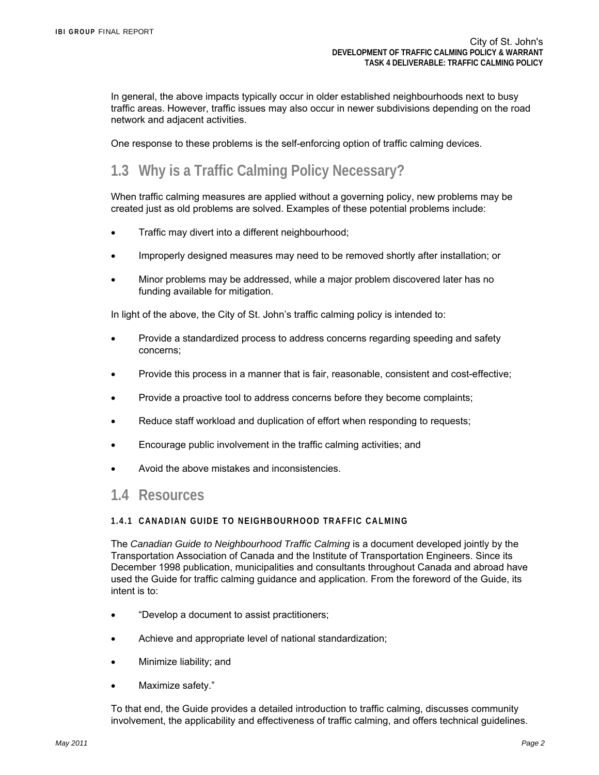In general, the above impacts typically occur in older established neighbourhoods next to busy traffic areas. However, traffic issues may also occur in newer subdivisions depending on the road network and adjacent activities.

One response to these problems is the self-enforcing option of traffic calming devices.

## **1.3 Why is a Traffic Calming Policy Necessary?**

When traffic calming measures are applied without a governing policy, new problems may be created just as old problems are solved. Examples of these potential problems include:

- Traffic may divert into a different neighbourhood;
- Improperly designed measures may need to be removed shortly after installation; or
- Minor problems may be addressed, while a major problem discovered later has no funding available for mitigation.

In light of the above, the City of St. John's traffic calming policy is intended to:

- Provide a standardized process to address concerns regarding speeding and safety concerns;
- Provide this process in a manner that is fair, reasonable, consistent and cost-effective;
- Provide a proactive tool to address concerns before they become complaints;
- Reduce staff workload and duplication of effort when responding to requests;
- Encourage public involvement in the traffic calming activities; and
- Avoid the above mistakes and inconsistencies.

## **1.4 Resources**

#### **1.4.1 CANADIAN GUIDE TO NEIGHBOURHOOD TRAFFIC CALMING**

The *Canadian Guide to Neighbourhood Traffic Calming* is a document developed jointly by the Transportation Association of Canada and the Institute of Transportation Engineers. Since its December 1998 publication, municipalities and consultants throughout Canada and abroad have used the Guide for traffic calming guidance and application. From the foreword of the Guide, its intent is to:

- "Develop a document to assist practitioners;
- Achieve and appropriate level of national standardization;
- Minimize liability; and
- Maximize safety."

To that end, the Guide provides a detailed introduction to traffic calming, discusses community involvement, the applicability and effectiveness of traffic calming, and offers technical guidelines.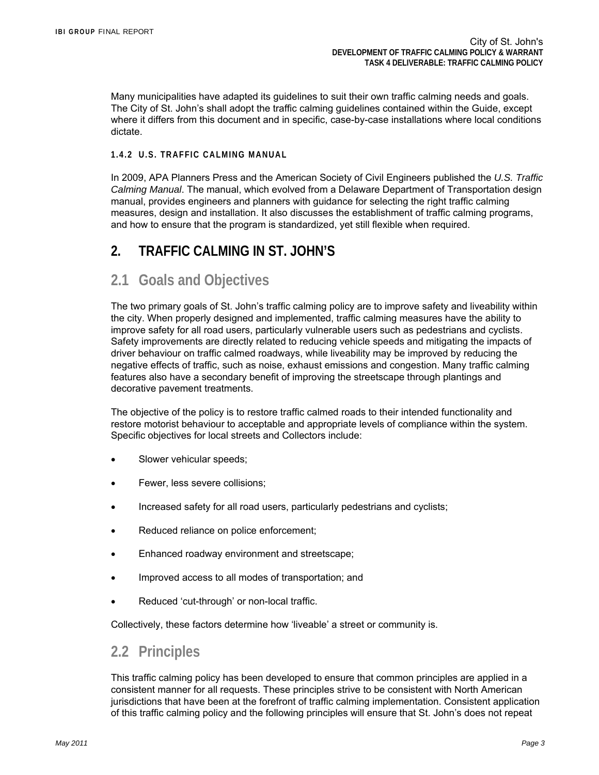Many municipalities have adapted its guidelines to suit their own traffic calming needs and goals. The City of St. John's shall adopt the traffic calming guidelines contained within the Guide, except where it differs from this document and in specific, case-by-case installations where local conditions dictate.

### **1.4.2 U.S. TRAFFIC CALMING MANUAL**

In 2009, APA Planners Press and the American Society of Civil Engineers published the *U.S. Traffic Calming Manual*. The manual, which evolved from a Delaware Department of Transportation design manual, provides engineers and planners with guidance for selecting the right traffic calming measures, design and installation. It also discusses the establishment of traffic calming programs, and how to ensure that the program is standardized, yet still flexible when required.

## **2. TRAFFIC CALMING IN ST. JOHN'S**

## **2.1 Goals and Objectives**

The two primary goals of St. John's traffic calming policy are to improve safety and liveability within the city. When properly designed and implemented, traffic calming measures have the ability to improve safety for all road users, particularly vulnerable users such as pedestrians and cyclists. Safety improvements are directly related to reducing vehicle speeds and mitigating the impacts of driver behaviour on traffic calmed roadways, while liveability may be improved by reducing the negative effects of traffic, such as noise, exhaust emissions and congestion. Many traffic calming features also have a secondary benefit of improving the streetscape through plantings and decorative pavement treatments.

The objective of the policy is to restore traffic calmed roads to their intended functionality and restore motorist behaviour to acceptable and appropriate levels of compliance within the system. Specific objectives for local streets and Collectors include:

- Slower vehicular speeds;
- Fewer, less severe collisions;
- Increased safety for all road users, particularly pedestrians and cyclists;
- Reduced reliance on police enforcement;
- Enhanced roadway environment and streetscape;
- Improved access to all modes of transportation; and
- Reduced 'cut-through' or non-local traffic.

Collectively, these factors determine how 'liveable' a street or community is.

## **2.2 Principles**

This traffic calming policy has been developed to ensure that common principles are applied in a consistent manner for all requests. These principles strive to be consistent with North American jurisdictions that have been at the forefront of traffic calming implementation. Consistent application of this traffic calming policy and the following principles will ensure that St. John's does not repeat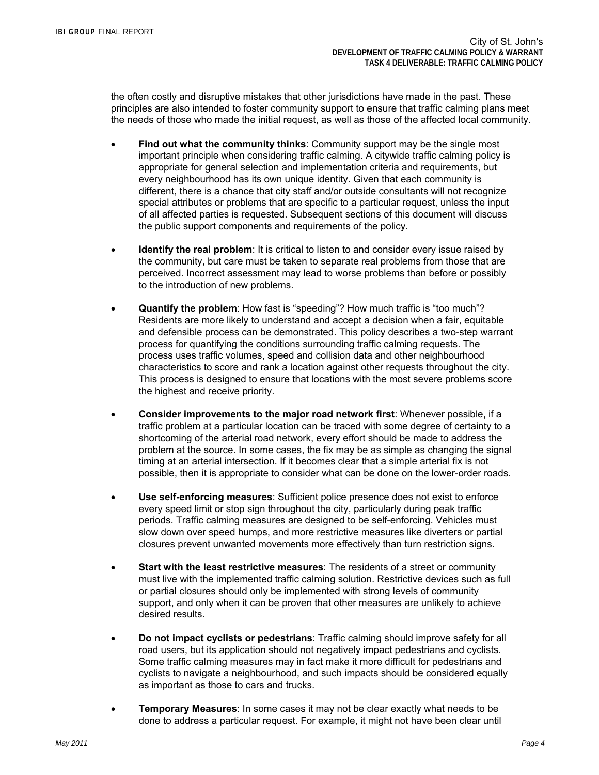the often costly and disruptive mistakes that other jurisdictions have made in the past. These principles are also intended to foster community support to ensure that traffic calming plans meet the needs of those who made the initial request, as well as those of the affected local community.

- **Find out what the community thinks**: Community support may be the single most important principle when considering traffic calming. A citywide traffic calming policy is appropriate for general selection and implementation criteria and requirements, but every neighbourhood has its own unique identity. Given that each community is different, there is a chance that city staff and/or outside consultants will not recognize special attributes or problems that are specific to a particular request, unless the input of all affected parties is requested. Subsequent sections of this document will discuss the public support components and requirements of the policy.
- **Identify the real problem**: It is critical to listen to and consider every issue raised by the community, but care must be taken to separate real problems from those that are perceived. Incorrect assessment may lead to worse problems than before or possibly to the introduction of new problems.
- **Quantify the problem**: How fast is "speeding"? How much traffic is "too much"? Residents are more likely to understand and accept a decision when a fair, equitable and defensible process can be demonstrated. This policy describes a two-step warrant process for quantifying the conditions surrounding traffic calming requests. The process uses traffic volumes, speed and collision data and other neighbourhood characteristics to score and rank a location against other requests throughout the city. This process is designed to ensure that locations with the most severe problems score the highest and receive priority.
- **Consider improvements to the major road network first**: Whenever possible, if a traffic problem at a particular location can be traced with some degree of certainty to a shortcoming of the arterial road network, every effort should be made to address the problem at the source. In some cases, the fix may be as simple as changing the signal timing at an arterial intersection. If it becomes clear that a simple arterial fix is not possible, then it is appropriate to consider what can be done on the lower-order roads.
- **Use self-enforcing measures**: Sufficient police presence does not exist to enforce every speed limit or stop sign throughout the city, particularly during peak traffic periods. Traffic calming measures are designed to be self-enforcing. Vehicles must slow down over speed humps, and more restrictive measures like diverters or partial closures prevent unwanted movements more effectively than turn restriction signs.
- **Start with the least restrictive measures**: The residents of a street or community must live with the implemented traffic calming solution. Restrictive devices such as full or partial closures should only be implemented with strong levels of community support, and only when it can be proven that other measures are unlikely to achieve desired results.
- **Do not impact cyclists or pedestrians**: Traffic calming should improve safety for all road users, but its application should not negatively impact pedestrians and cyclists. Some traffic calming measures may in fact make it more difficult for pedestrians and cyclists to navigate a neighbourhood, and such impacts should be considered equally as important as those to cars and trucks.
- **Temporary Measures**: In some cases it may not be clear exactly what needs to be done to address a particular request. For example, it might not have been clear until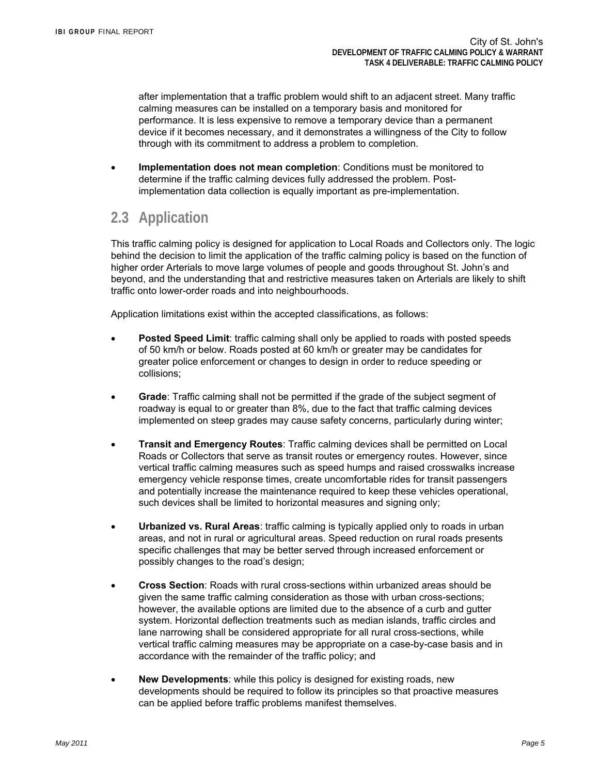after implementation that a traffic problem would shift to an adjacent street. Many traffic calming measures can be installed on a temporary basis and monitored for performance. It is less expensive to remove a temporary device than a permanent device if it becomes necessary, and it demonstrates a willingness of the City to follow through with its commitment to address a problem to completion.

 **Implementation does not mean completion**: Conditions must be monitored to determine if the traffic calming devices fully addressed the problem. Postimplementation data collection is equally important as pre-implementation.

## **2.3 Application**

This traffic calming policy is designed for application to Local Roads and Collectors only. The logic behind the decision to limit the application of the traffic calming policy is based on the function of higher order Arterials to move large volumes of people and goods throughout St. John's and beyond, and the understanding that and restrictive measures taken on Arterials are likely to shift traffic onto lower-order roads and into neighbourhoods.

Application limitations exist within the accepted classifications, as follows:

- **Posted Speed Limit**: traffic calming shall only be applied to roads with posted speeds of 50 km/h or below. Roads posted at 60 km/h or greater may be candidates for greater police enforcement or changes to design in order to reduce speeding or collisions;
- **Grade**: Traffic calming shall not be permitted if the grade of the subject segment of roadway is equal to or greater than 8%, due to the fact that traffic calming devices implemented on steep grades may cause safety concerns, particularly during winter;
- **Transit and Emergency Routes**: Traffic calming devices shall be permitted on Local Roads or Collectors that serve as transit routes or emergency routes. However, since vertical traffic calming measures such as speed humps and raised crosswalks increase emergency vehicle response times, create uncomfortable rides for transit passengers and potentially increase the maintenance required to keep these vehicles operational, such devices shall be limited to horizontal measures and signing only;
- **Urbanized vs. Rural Areas**: traffic calming is typically applied only to roads in urban areas, and not in rural or agricultural areas. Speed reduction on rural roads presents specific challenges that may be better served through increased enforcement or possibly changes to the road's design;
- **Cross Section**: Roads with rural cross-sections within urbanized areas should be given the same traffic calming consideration as those with urban cross-sections; however, the available options are limited due to the absence of a curb and gutter system. Horizontal deflection treatments such as median islands, traffic circles and lane narrowing shall be considered appropriate for all rural cross-sections, while vertical traffic calming measures may be appropriate on a case-by-case basis and in accordance with the remainder of the traffic policy; and
- **New Developments**: while this policy is designed for existing roads, new developments should be required to follow its principles so that proactive measures can be applied before traffic problems manifest themselves.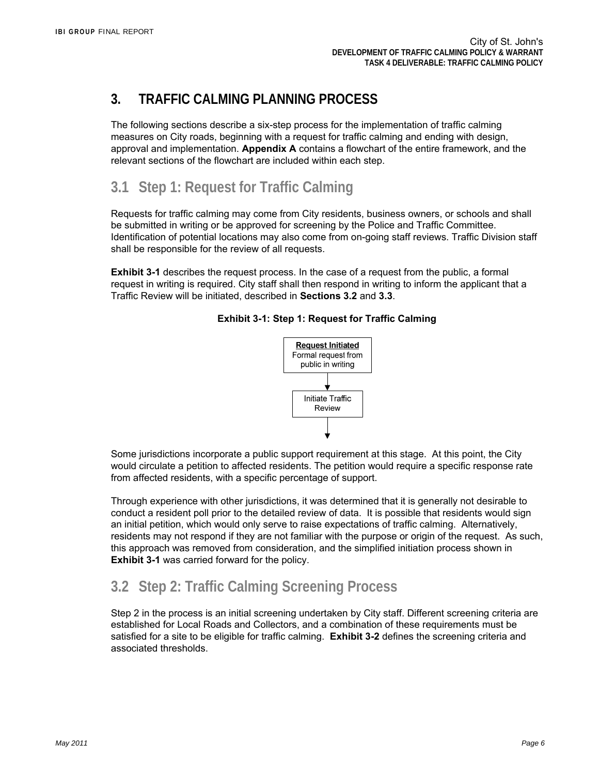## **3. TRAFFIC CALMING PLANNING PROCESS**

The following sections describe a six-step process for the implementation of traffic calming measures on City roads, beginning with a request for traffic calming and ending with design, approval and implementation. **Appendix A** contains a flowchart of the entire framework, and the relevant sections of the flowchart are included within each step.

## **3.1 Step 1: Request for Traffic Calming**

Requests for traffic calming may come from City residents, business owners, or schools and shall be submitted in writing or be approved for screening by the Police and Traffic Committee. Identification of potential locations may also come from on-going staff reviews. Traffic Division staff shall be responsible for the review of all requests.

**Exhibit 3-1** describes the request process. In the case of a request from the public, a formal request in writing is required. City staff shall then respond in writing to inform the applicant that a Traffic Review will be initiated, described in **Sections 3.2** and **3.3**.



Review

## **Exhibit 3-1: Step 1: Request for Traffic Calming**

Some jurisdictions incorporate a public support requirement at this stage. At this point, the City would circulate a petition to affected residents. The petition would require a specific response rate from affected residents, with a specific percentage of support.

Through experience with other jurisdictions, it was determined that it is generally not desirable to conduct a resident poll prior to the detailed review of data. It is possible that residents would sign an initial petition, which would only serve to raise expectations of traffic calming. Alternatively, residents may not respond if they are not familiar with the purpose or origin of the request. As such, this approach was removed from consideration, and the simplified initiation process shown in **Exhibit 3-1** was carried forward for the policy.

## **3.2 Step 2: Traffic Calming Screening Process**

Step 2 in the process is an initial screening undertaken by City staff. Different screening criteria are established for Local Roads and Collectors, and a combination of these requirements must be satisfied for a site to be eligible for traffic calming. **Exhibit 3-2** defines the screening criteria and associated thresholds.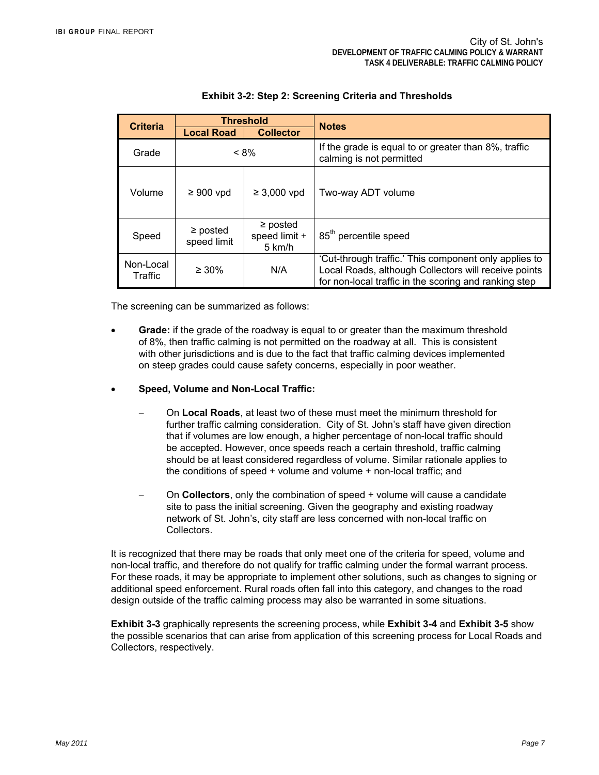| <b>Threshold</b><br><b>Criteria</b> |                              |                                          | <b>Notes</b>                                                                                                                                                           |  |  |
|-------------------------------------|------------------------------|------------------------------------------|------------------------------------------------------------------------------------------------------------------------------------------------------------------------|--|--|
|                                     | <b>Local Road</b>            | <b>Collector</b>                         |                                                                                                                                                                        |  |  |
| Grade                               | $< 8\%$                      |                                          | If the grade is equal to or greater than 8%, traffic<br>calming is not permitted                                                                                       |  |  |
| Volume                              | $\geq 900$ vpd               | $\geq 3,000$ vpd                         | Two-way ADT volume                                                                                                                                                     |  |  |
| Speed                               | $\geq$ posted<br>speed limit | $\geq$ posted<br>speed limit +<br>5 km/h | 85 <sup>th</sup> percentile speed                                                                                                                                      |  |  |
| Non-Local<br>Traffic                | $\geq 30\%$                  | N/A                                      | 'Cut-through traffic.' This component only applies to<br>Local Roads, although Collectors will receive points<br>for non-local traffic in the scoring and ranking step |  |  |

### **Exhibit 3-2: Step 2: Screening Criteria and Thresholds**

The screening can be summarized as follows:

- **Grade:** if the grade of the roadway is equal to or greater than the maximum threshold of 8%, then traffic calming is not permitted on the roadway at all. This is consistent with other jurisdictions and is due to the fact that traffic calming devices implemented on steep grades could cause safety concerns, especially in poor weather.
- **Speed, Volume and Non-Local Traffic:** 
	- On **Local Roads**, at least two of these must meet the minimum threshold for further traffic calming consideration. City of St. John's staff have given direction that if volumes are low enough, a higher percentage of non-local traffic should be accepted. However, once speeds reach a certain threshold, traffic calming should be at least considered regardless of volume. Similar rationale applies to the conditions of speed + volume and volume + non-local traffic; and
	- On **Collectors**, only the combination of speed + volume will cause a candidate site to pass the initial screening. Given the geography and existing roadway network of St. John's, city staff are less concerned with non-local traffic on Collectors.

It is recognized that there may be roads that only meet one of the criteria for speed, volume and non-local traffic, and therefore do not qualify for traffic calming under the formal warrant process. For these roads, it may be appropriate to implement other solutions, such as changes to signing or additional speed enforcement. Rural roads often fall into this category, and changes to the road design outside of the traffic calming process may also be warranted in some situations.

**Exhibit 3-3** graphically represents the screening process, while **Exhibit 3-4** and **Exhibit 3-5** show the possible scenarios that can arise from application of this screening process for Local Roads and Collectors, respectively.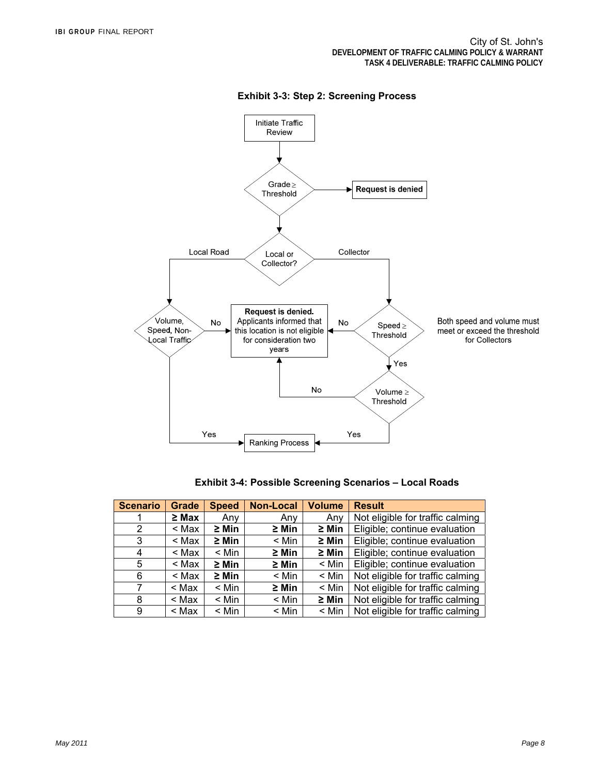

### **Exhibit 3-3: Step 2: Screening Process**

| <b>Exhibit 3-4: Possible Screening Scenarios - Local Roads</b> |  |
|----------------------------------------------------------------|--|
|----------------------------------------------------------------|--|

| <b>Scenario</b> | Grade      | <b>Speed</b> | <b>Non-Local</b> | <b>Volume</b> | <b>Result</b>                    |  |  |
|-----------------|------------|--------------|------------------|---------------|----------------------------------|--|--|
|                 | $\geq$ Max | Any          | Any              | Any           | Not eligible for traffic calming |  |  |
| 2               | $<$ Max    | $\geq$ Min   | $\geq$ Min       | $\geq$ Min    | Eligible; continue evaluation    |  |  |
| 3               | $<$ Max    | $\geq$ Min   | < Min            | $\geq$ Min    | Eligible; continue evaluation    |  |  |
| 4               | < Max      | $<$ Min      | $\geq$ Min       | $\geq$ Min    | Eligible; continue evaluation    |  |  |
| 5               | < Max      | $\geq$ Min   | $\geq$ Min       | $<$ Min       | Eligible; continue evaluation    |  |  |
| 6               | < Max      | $\geq$ Min   | < Min            | $<$ Min       | Not eligible for traffic calming |  |  |
| 7               | < Max      | $<$ Min      | $\geq$ Min       | $<$ Min       | Not eligible for traffic calming |  |  |
| 8               | < Max      | $<$ Min      | < Min            | $\geq$ Min    | Not eligible for traffic calming |  |  |
| 9               | < Max      | $<$ Min      | < Min            | $<$ Min       | Not eligible for traffic calming |  |  |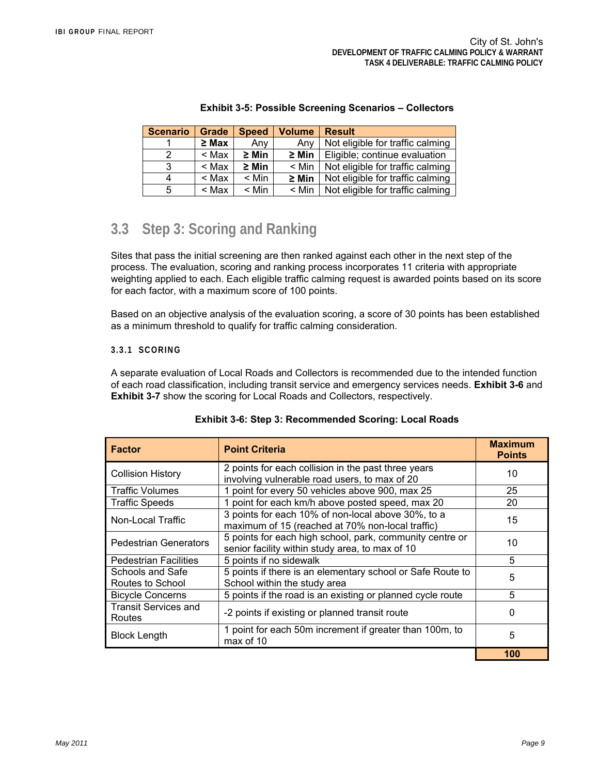| <b>Scenario</b> | <b>Grade</b> | <b>Speed</b> | <b>Volume</b><br><b>Result</b>                 |                                  |
|-----------------|--------------|--------------|------------------------------------------------|----------------------------------|
|                 | $\geq$ Max   | Any          | Not eligible for traffic calming<br>Anv        |                                  |
| 2               | $<$ Max      | $\geq$ Min   | $\geq$ Min<br>Eligible; continue evaluation    |                                  |
| 3               | $<$ Max      | $\geq$ Min   | $<$ Min<br>Not eligible for traffic calming    |                                  |
| 4               | $<$ Max      | $<$ Min      | $\geq$ Min<br>Not eligible for traffic calming |                                  |
| 5               | $<$ Max      | $<$ Min      | $<$ Min                                        | Not eligible for traffic calming |

### **Exhibit 3-5: Possible Screening Scenarios – Collectors**

## **3.3 Step 3: Scoring and Ranking**

Sites that pass the initial screening are then ranked against each other in the next step of the process. The evaluation, scoring and ranking process incorporates 11 criteria with appropriate weighting applied to each. Each eligible traffic calming request is awarded points based on its score for each factor, with a maximum score of 100 points.

Based on an objective analysis of the evaluation scoring, a score of 30 points has been established as a minimum threshold to qualify for traffic calming consideration.

## **3.3.1 SCORING**

A separate evaluation of Local Roads and Collectors is recommended due to the intended function of each road classification, including transit service and emergency services needs. **Exhibit 3-6** and **Exhibit 3-7** show the scoring for Local Roads and Collectors, respectively.

| <b>Factor</b>                                           | <b>Point Criteria</b>                                                                                       | <b>Maximum</b><br><b>Points</b> |
|---------------------------------------------------------|-------------------------------------------------------------------------------------------------------------|---------------------------------|
| <b>Collision History</b>                                | 2 points for each collision in the past three years<br>involving vulnerable road users, to max of 20        | 10                              |
| <b>Traffic Volumes</b>                                  | 1 point for every 50 vehicles above 900, max 25                                                             | 25                              |
| <b>Traffic Speeds</b>                                   | 1 point for each km/h above posted speed, max 20                                                            | 20                              |
| Non-Local Traffic                                       | 3 points for each 10% of non-local above 30%, to a<br>maximum of 15 (reached at 70% non-local traffic)      | 15                              |
| <b>Pedestrian Generators</b>                            | 5 points for each high school, park, community centre or<br>senior facility within study area, to max of 10 | 10                              |
| 5 points if no sidewalk<br><b>Pedestrian Facilities</b> |                                                                                                             | 5                               |
| Schools and Safe<br>Routes to School                    | 5 points if there is an elementary school or Safe Route to<br>School within the study area                  | 5                               |
| <b>Bicycle Concerns</b>                                 | 5 points if the road is an existing or planned cycle route                                                  | 5                               |
| <b>Transit Services and</b><br>Routes                   | -2 points if existing or planned transit route                                                              | $\Omega$                        |
| <b>Block Length</b>                                     | 1 point for each 50m increment if greater than 100m, to<br>max of 10                                        | 5                               |
|                                                         |                                                                                                             | 100                             |

### **Exhibit 3-6: Step 3: Recommended Scoring: Local Roads**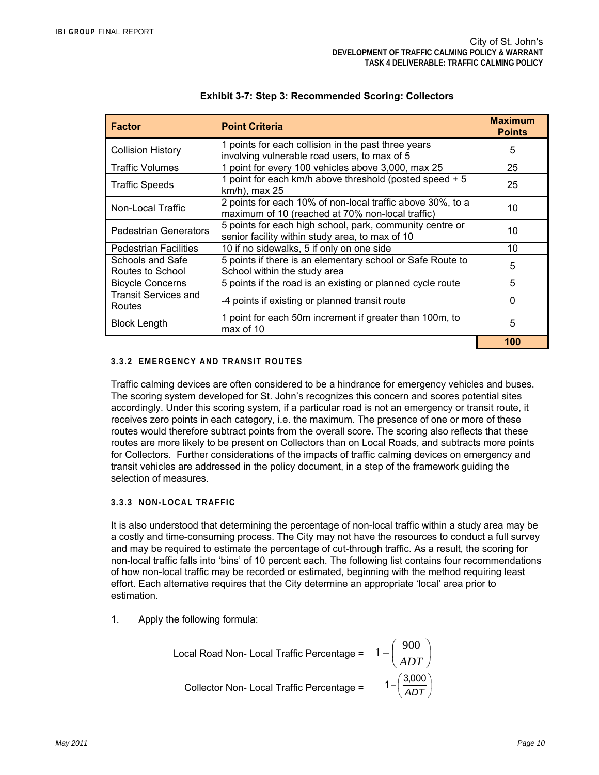| <b>Factor</b>                                                                               | <b>Point Criteria</b>                                                                                          | <b>Maximum</b><br><b>Points</b> |
|---------------------------------------------------------------------------------------------|----------------------------------------------------------------------------------------------------------------|---------------------------------|
| <b>Collision History</b>                                                                    | 1 points for each collision in the past three years<br>involving vulnerable road users, to max of 5            | 5                               |
| <b>Traffic Volumes</b>                                                                      | 1 point for every 100 vehicles above 3,000, max 25                                                             | 25                              |
| <b>Traffic Speeds</b>                                                                       | 1 point for each km/h above threshold (posted speed + 5<br>km/h), max 25                                       | 25                              |
| Non-Local Traffic                                                                           | 2 points for each 10% of non-local traffic above 30%, to a<br>maximum of 10 (reached at 70% non-local traffic) | 10                              |
| <b>Pedestrian Generators</b>                                                                | 5 points for each high school, park, community centre or<br>senior facility within study area, to max of 10    | 10                              |
| <b>Pedestrian Facilities</b>                                                                | 10 if no sidewalks, 5 if only on one side                                                                      | 10                              |
| Schools and Safe<br>Routes to School                                                        | 5 points if there is an elementary school or Safe Route to<br>School within the study area                     | 5                               |
| <b>Bicycle Concerns</b>                                                                     | 5 points if the road is an existing or planned cycle route                                                     | 5                               |
| <b>Transit Services and</b><br>Routes                                                       | -4 points if existing or planned transit route                                                                 | $\Omega$                        |
| 1 point for each 50m increment if greater than 100m, to<br><b>Block Length</b><br>max of 10 |                                                                                                                | 5                               |
|                                                                                             |                                                                                                                | 100                             |

### **Exhibit 3-7: Step 3: Recommended Scoring: Collectors**

### **3.3.2 EMERGENCY AND TRANSIT ROUTES**

Traffic calming devices are often considered to be a hindrance for emergency vehicles and buses. The scoring system developed for St. John's recognizes this concern and scores potential sites accordingly. Under this scoring system, if a particular road is not an emergency or transit route, it receives zero points in each category, i.e. the maximum. The presence of one or more of these routes would therefore subtract points from the overall score. The scoring also reflects that these routes are more likely to be present on Collectors than on Local Roads, and subtracts more points for Collectors. Further considerations of the impacts of traffic calming devices on emergency and transit vehicles are addressed in the policy document, in a step of the framework guiding the selection of measures.

#### **3.3.3 NON-LOCAL TRAFFIC**

It is also understood that determining the percentage of non-local traffic within a study area may be a costly and time-consuming process. The City may not have the resources to conduct a full survey and may be required to estimate the percentage of cut-through traffic. As a result, the scoring for non-local traffic falls into 'bins' of 10 percent each. The following list contains four recommendations of how non-local traffic may be recorded or estimated, beginning with the method requiring least effort. Each alternative requires that the City determine an appropriate 'local' area prior to estimation.

1. Apply the following formula:

| Local Road Non- Local Traffic Percentage = $1 - \left(\frac{900}{ADT}\right)^2$ |                                      |
|---------------------------------------------------------------------------------|--------------------------------------|
| Collector Non-Local Traffic Percentage =                                        | $1 - \left(\frac{3,000}{ADT}\right)$ |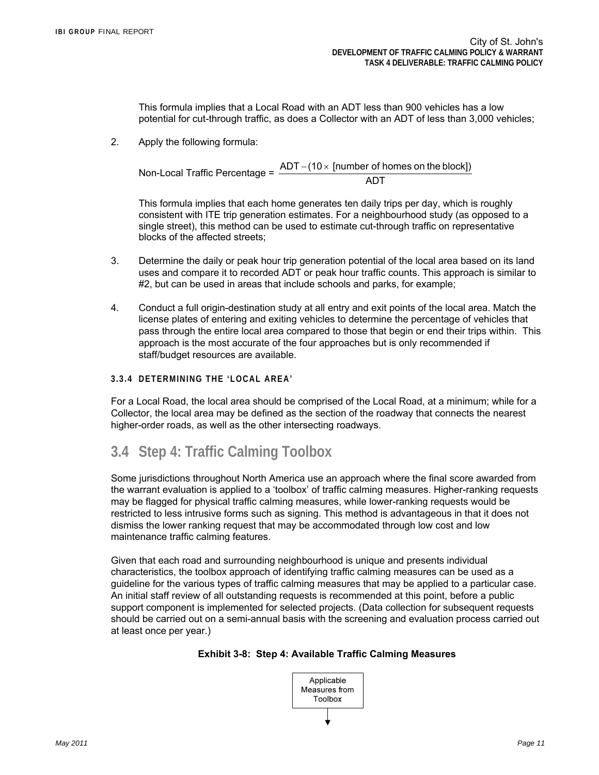This formula implies that a Local Road with an ADT less than 900 vehicles has a low potential for cut-through traffic, as does a Collector with an ADT of less than 3,000 vehicles;

2. Apply the following formula:

Non-Local Traffic Percentage =  $\frac{\mathsf{ADT} - (\mathsf{10} \times \mathsf{[number\:of} \; \mathsf{homes} \; \mathsf{on} \; \mathsf{the} \; \mathsf{block}])}{\mathsf{ADT}}$ 

This formula implies that each home generates ten daily trips per day, which is roughly consistent with ITE trip generation estimates. For a neighbourhood study (as opposed to a single street), this method can be used to estimate cut-through traffic on representative blocks of the affected streets;

- 3. Determine the daily or peak hour trip generation potential of the local area based on its land uses and compare it to recorded ADT or peak hour traffic counts. This approach is similar to #2, but can be used in areas that include schools and parks, for example;
- 4. Conduct a full origin-destination study at all entry and exit points of the local area. Match the license plates of entering and exiting vehicles to determine the percentage of vehicles that pass through the entire local area compared to those that begin or end their trips within. This approach is the most accurate of the four approaches but is only recommended if staff/budget resources are available.
- **3.3.4 DETERMINING THE 'LOCAL AREA'**

For a Local Road, the local area should be comprised of the Local Road, at a minimum; while for a Collector, the local area may be defined as the section of the roadway that connects the nearest higher-order roads, as well as the other intersecting roadways.

## **3.4 Step 4: Traffic Calming Toolbox**

Some jurisdictions throughout North America use an approach where the final score awarded from the warrant evaluation is applied to a 'toolbox' of traffic calming measures. Higher-ranking requests may be flagged for physical traffic calming measures, while lower-ranking requests would be restricted to less intrusive forms such as signing. This method is advantageous in that it does not dismiss the lower ranking request that may be accommodated through low cost and low maintenance traffic calming features.

Given that each road and surrounding neighbourhood is unique and presents individual characteristics, the toolbox approach of identifying traffic calming measures can be used as a guideline for the various types of traffic calming measures that may be applied to a particular case. An initial staff review of all outstanding requests is recommended at this point, before a public support component is implemented for selected projects. (Data collection for subsequent requests should be carried out on a semi-annual basis with the screening and evaluation process carried out at least once per year.)



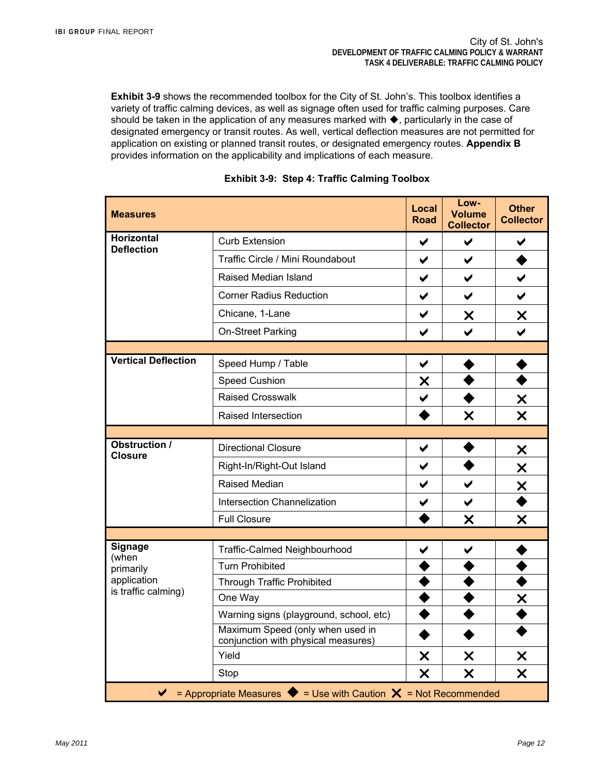**Exhibit 3-9** shows the recommended toolbox for the City of St. John's. This toolbox identifies a variety of traffic calming devices, as well as signage often used for traffic calming purposes. Care should be taken in the application of any measures marked with  $\blacklozenge$ , particularly in the case of designated emergency or transit routes. As well, vertical deflection measures are not permitted for application on existing or planned transit routes, or designated emergency routes. **Appendix B** provides information on the applicability and implications of each measure.

| <b>Measures</b>                        |                                                                                                   | <b>Local</b><br><b>Road</b> | Low-<br><b>Volume</b><br><b>Collector</b> | <b>Other</b><br><b>Collector</b> |
|----------------------------------------|---------------------------------------------------------------------------------------------------|-----------------------------|-------------------------------------------|----------------------------------|
| <b>Horizontal</b><br><b>Deflection</b> | <b>Curb Extension</b>                                                                             | ✔                           | ✔                                         | ✔                                |
|                                        | Traffic Circle / Mini Roundabout                                                                  | ✔                           | $\blacktriangledown$                      |                                  |
|                                        | Raised Median Island                                                                              | ✔                           | $\blacktriangledown$                      |                                  |
|                                        | <b>Corner Radius Reduction</b>                                                                    | $\blacktriangledown$        | $\blacktriangledown$                      | $\blacktriangleright$            |
|                                        | Chicane, 1-Lane                                                                                   | ✔                           | X                                         | X                                |
|                                        | On-Street Parking                                                                                 | ✔                           |                                           |                                  |
|                                        |                                                                                                   |                             |                                           |                                  |
| <b>Vertical Deflection</b>             | Speed Hump / Table                                                                                | $\blacktriangledown$        |                                           |                                  |
|                                        | <b>Speed Cushion</b>                                                                              | X                           |                                           |                                  |
|                                        | <b>Raised Crosswalk</b>                                                                           | $\checkmark$                |                                           |                                  |
|                                        | Raised Intersection                                                                               |                             | X                                         | $\frac{\mathsf{x}}{\mathsf{x}}$  |
|                                        |                                                                                                   |                             |                                           |                                  |
| <b>Obstruction /</b><br><b>Closure</b> | <b>Directional Closure</b>                                                                        | ✔                           |                                           | X                                |
|                                        | Right-In/Right-Out Island                                                                         | $\blacktriangledown$        |                                           | X                                |
|                                        | Raised Median                                                                                     | ✔                           | $\blacktriangledown$                      | <u>X</u>                         |
|                                        | <b>Intersection Channelization</b>                                                                | ✔                           | ✔                                         |                                  |
|                                        | <b>Full Closure</b>                                                                               |                             | $\boldsymbol{\mathsf{x}}$                 | X                                |
|                                        |                                                                                                   |                             |                                           |                                  |
| Signage<br>(when                       | Traffic-Calmed Neighbourhood                                                                      | ✔                           | ✔                                         |                                  |
| primarily                              | <b>Turn Prohibited</b>                                                                            |                             |                                           |                                  |
| application<br>is traffic calming)     | <b>Through Traffic Prohibited</b>                                                                 |                             |                                           |                                  |
|                                        | One Way                                                                                           |                             |                                           | X                                |
|                                        | Warning signs (playground, school, etc)                                                           |                             |                                           |                                  |
|                                        | Maximum Speed (only when used in<br>conjunction with physical measures)                           |                             |                                           |                                  |
|                                        | Yield                                                                                             | X                           | X                                         | X                                |
|                                        | Stop                                                                                              | X                           | X                                         | X                                |
|                                        | = Appropriate Measures $\blacklozenge$ = Use with Caution $\blacktriangleright$ = Not Recommended |                             |                                           |                                  |

## **Exhibit 3-9: Step 4: Traffic Calming Toolbox**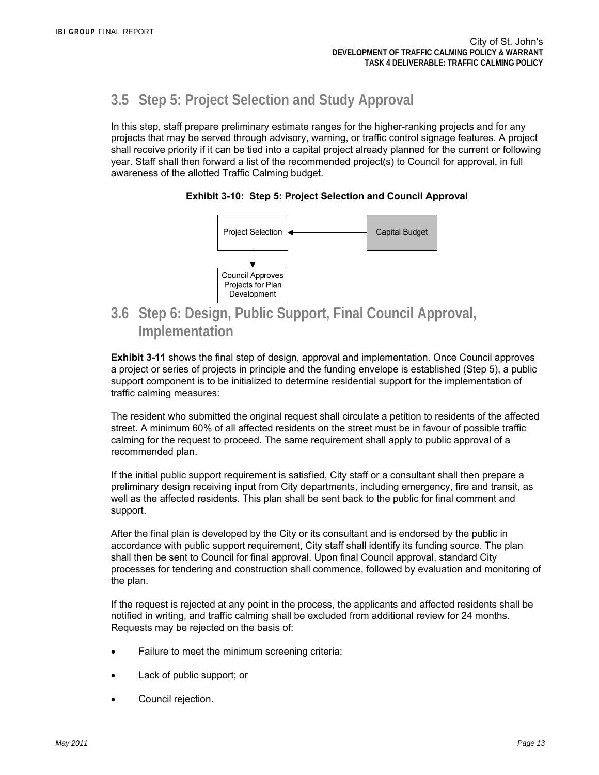## **3.5 Step 5: Project Selection and Study Approval**

In this step, staff prepare preliminary estimate ranges for the higher-ranking projects and for any projects that may be served through advisory, warning, or traffic control signage features. A project shall receive priority if it can be tied into a capital project already planned for the current or following year. Staff shall then forward a list of the recommended project(s) to Council for approval, in full awareness of the allotted Traffic Calming budget.

### **Exhibit 3-10: Step 5: Project Selection and Council Approval**



## **3.6 Step 6: Design, Public Support, Final Council Approval, Implementation**

**Exhibit 3-11** shows the final step of design, approval and implementation. Once Council approves a project or series of projects in principle and the funding envelope is established (Step 5), a public support component is to be initialized to determine residential support for the implementation of traffic calming measures:

The resident who submitted the original request shall circulate a petition to residents of the affected street. A minimum 60% of all affected residents on the street must be in favour of possible traffic calming for the request to proceed. The same requirement shall apply to public approval of a recommended plan.

If the initial public support requirement is satisfied, City staff or a consultant shall then prepare a preliminary design receiving input from City departments, including emergency, fire and transit, as well as the affected residents. This plan shall be sent back to the public for final comment and support.

After the final plan is developed by the City or its consultant and is endorsed by the public in accordance with public support requirement, City staff shall identify its funding source. The plan shall then be sent to Council for final approval. Upon final Council approval, standard City processes for tendering and construction shall commence, followed by evaluation and monitoring of the plan.

If the request is rejected at any point in the process, the applicants and affected residents shall be notified in writing, and traffic calming shall be excluded from additional review for 24 months. Requests may be rejected on the basis of:

- Failure to meet the minimum screening criteria;
- Lack of public support; or
- Council rejection.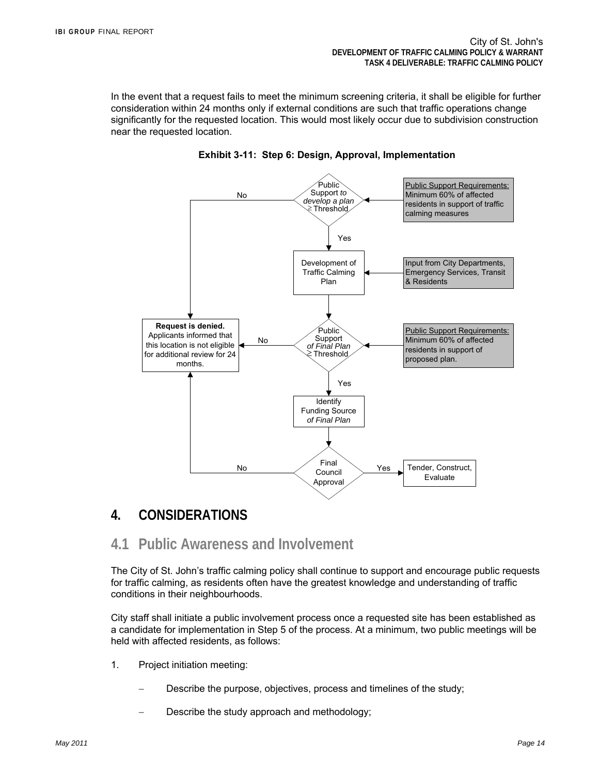In the event that a request fails to meet the minimum screening criteria, it shall be eligible for further consideration within 24 months only if external conditions are such that traffic operations change significantly for the requested location. This would most likely occur due to subdivision construction near the requested location.



### **Exhibit 3-11: Step 6: Design, Approval, Implementation**

## **4. CONSIDERATIONS**

## **4.1 Public Awareness and Involvement**

The City of St. John's traffic calming policy shall continue to support and encourage public requests for traffic calming, as residents often have the greatest knowledge and understanding of traffic conditions in their neighbourhoods.

City staff shall initiate a public involvement process once a requested site has been established as a candidate for implementation in Step 5 of the process. At a minimum, two public meetings will be held with affected residents, as follows:

- 1. Project initiation meeting:
	- Describe the purpose, objectives, process and timelines of the study;
	- Describe the study approach and methodology;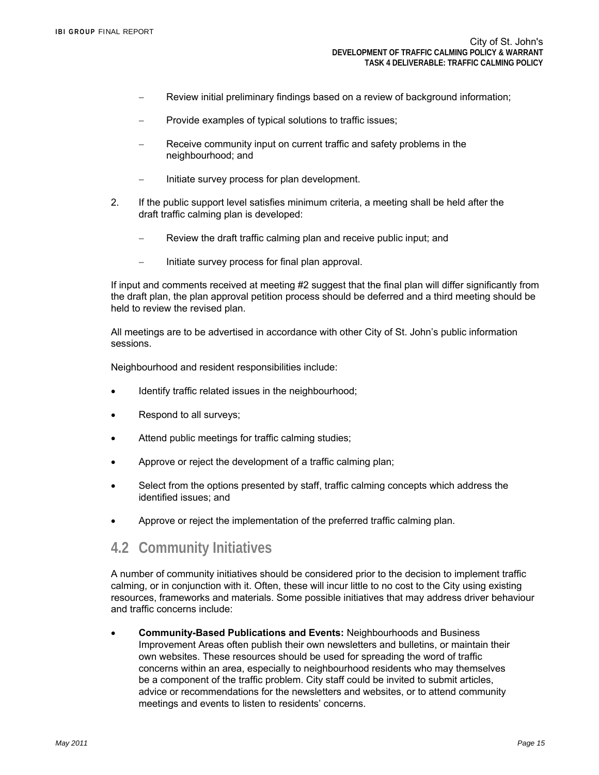- Review initial preliminary findings based on a review of background information;
- Provide examples of typical solutions to traffic issues;
- Receive community input on current traffic and safety problems in the neighbourhood; and
- Initiate survey process for plan development.
- 2. If the public support level satisfies minimum criteria, a meeting shall be held after the draft traffic calming plan is developed:
	- Review the draft traffic calming plan and receive public input; and
	- Initiate survey process for final plan approval.

If input and comments received at meeting #2 suggest that the final plan will differ significantly from the draft plan, the plan approval petition process should be deferred and a third meeting should be held to review the revised plan.

All meetings are to be advertised in accordance with other City of St. John's public information sessions.

Neighbourhood and resident responsibilities include:

- Identify traffic related issues in the neighbourhood;
- Respond to all surveys;
- Attend public meetings for traffic calming studies;
- Approve or reject the development of a traffic calming plan;
- Select from the options presented by staff, traffic calming concepts which address the identified issues; and
- Approve or reject the implementation of the preferred traffic calming plan.

## **4.2 Community Initiatives**

A number of community initiatives should be considered prior to the decision to implement traffic calming, or in conjunction with it. Often, these will incur little to no cost to the City using existing resources, frameworks and materials. Some possible initiatives that may address driver behaviour and traffic concerns include:

 **Community-Based Publications and Events:** Neighbourhoods and Business Improvement Areas often publish their own newsletters and bulletins, or maintain their own websites. These resources should be used for spreading the word of traffic concerns within an area, especially to neighbourhood residents who may themselves be a component of the traffic problem. City staff could be invited to submit articles, advice or recommendations for the newsletters and websites, or to attend community meetings and events to listen to residents' concerns.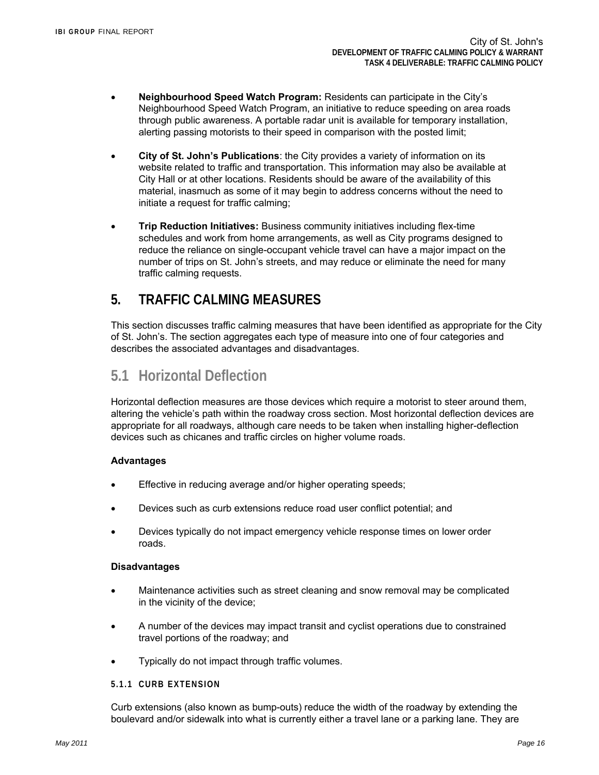- **Neighbourhood Speed Watch Program:** Residents can participate in the City's Neighbourhood Speed Watch Program, an initiative to reduce speeding on area roads through public awareness. A portable radar unit is available for temporary installation, alerting passing motorists to their speed in comparison with the posted limit;
- **City of St. John's Publications**: the City provides a variety of information on its website related to traffic and transportation. This information may also be available at City Hall or at other locations. Residents should be aware of the availability of this material, inasmuch as some of it may begin to address concerns without the need to initiate a request for traffic calming;
- **Trip Reduction Initiatives:** Business community initiatives including flex-time schedules and work from home arrangements, as well as City programs designed to reduce the reliance on single-occupant vehicle travel can have a major impact on the number of trips on St. John's streets, and may reduce or eliminate the need for many traffic calming requests.

## **5. TRAFFIC CALMING MEASURES**

This section discusses traffic calming measures that have been identified as appropriate for the City of St. John's. The section aggregates each type of measure into one of four categories and describes the associated advantages and disadvantages.

## **5.1 Horizontal Deflection**

Horizontal deflection measures are those devices which require a motorist to steer around them, altering the vehicle's path within the roadway cross section. Most horizontal deflection devices are appropriate for all roadways, although care needs to be taken when installing higher-deflection devices such as chicanes and traffic circles on higher volume roads.

## **Advantages**

- Effective in reducing average and/or higher operating speeds;
- Devices such as curb extensions reduce road user conflict potential; and
- Devices typically do not impact emergency vehicle response times on lower order roads.

## **Disadvantages**

- Maintenance activities such as street cleaning and snow removal may be complicated in the vicinity of the device;
- A number of the devices may impact transit and cyclist operations due to constrained travel portions of the roadway; and
- Typically do not impact through traffic volumes.

### **5.1.1 CURB EXTENSION**

Curb extensions (also known as bump-outs) reduce the width of the roadway by extending the boulevard and/or sidewalk into what is currently either a travel lane or a parking lane. They are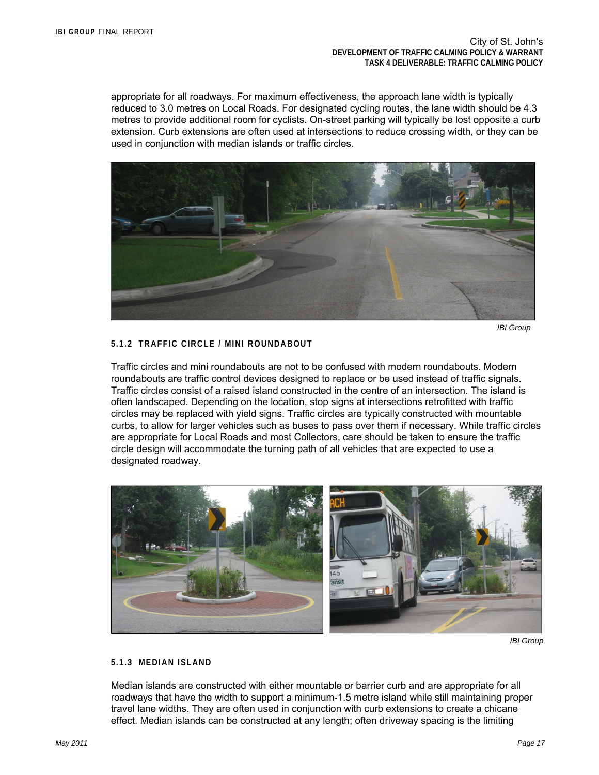appropriate for all roadways. For maximum effectiveness, the approach lane width is typically reduced to 3.0 metres on Local Roads. For designated cycling routes, the lane width should be 4.3 metres to provide additional room for cyclists. On-street parking will typically be lost opposite a curb extension. Curb extensions are often used at intersections to reduce crossing width, or they can be used in conjunction with median islands or traffic circles.



 *IBI Group* 

## **5.1.2 TRAFFIC CIRCLE / MINI ROUNDABOUT**

Traffic circles and mini roundabouts are not to be confused with modern roundabouts. Modern roundabouts are traffic control devices designed to replace or be used instead of traffic signals. Traffic circles consist of a raised island constructed in the centre of an intersection. The island is often landscaped. Depending on the location, stop signs at intersections retrofitted with traffic circles may be replaced with yield signs. Traffic circles are typically constructed with mountable curbs, to allow for larger vehicles such as buses to pass over them if necessary. While traffic circles are appropriate for Local Roads and most Collectors, care should be taken to ensure the traffic circle design will accommodate the turning path of all vehicles that are expected to use a designated roadway.



 *IBI Group*

## **5.1.3 MEDIAN ISLAND**

Median islands are constructed with either mountable or barrier curb and are appropriate for all roadways that have the width to support a minimum-1.5 metre island while still maintaining proper travel lane widths. They are often used in conjunction with curb extensions to create a chicane effect. Median islands can be constructed at any length; often driveway spacing is the limiting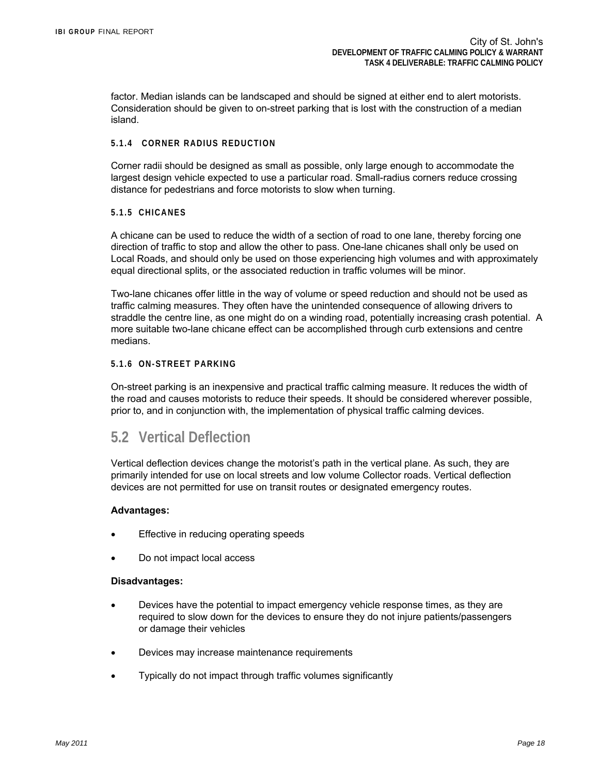factor. Median islands can be landscaped and should be signed at either end to alert motorists. Consideration should be given to on-street parking that is lost with the construction of a median island.

### **5.1.4 CORNER RADIUS REDUCTION**

Corner radii should be designed as small as possible, only large enough to accommodate the largest design vehicle expected to use a particular road. Small-radius corners reduce crossing distance for pedestrians and force motorists to slow when turning.

### **5.1.5 CHICANES**

A chicane can be used to reduce the width of a section of road to one lane, thereby forcing one direction of traffic to stop and allow the other to pass. One-lane chicanes shall only be used on Local Roads, and should only be used on those experiencing high volumes and with approximately equal directional splits, or the associated reduction in traffic volumes will be minor.

Two-lane chicanes offer little in the way of volume or speed reduction and should not be used as traffic calming measures. They often have the unintended consequence of allowing drivers to straddle the centre line, as one might do on a winding road, potentially increasing crash potential. A more suitable two-lane chicane effect can be accomplished through curb extensions and centre medians.

### **5.1.6 ON-STREET PARKING**

On-street parking is an inexpensive and practical traffic calming measure. It reduces the width of the road and causes motorists to reduce their speeds. It should be considered wherever possible, prior to, and in conjunction with, the implementation of physical traffic calming devices.

## **5.2 Vertical Deflection**

Vertical deflection devices change the motorist's path in the vertical plane. As such, they are primarily intended for use on local streets and low volume Collector roads. Vertical deflection devices are not permitted for use on transit routes or designated emergency routes.

### **Advantages:**

- Effective in reducing operating speeds
- Do not impact local access

#### **Disadvantages:**

- Devices have the potential to impact emergency vehicle response times, as they are required to slow down for the devices to ensure they do not injure patients/passengers or damage their vehicles
- Devices may increase maintenance requirements
- Typically do not impact through traffic volumes significantly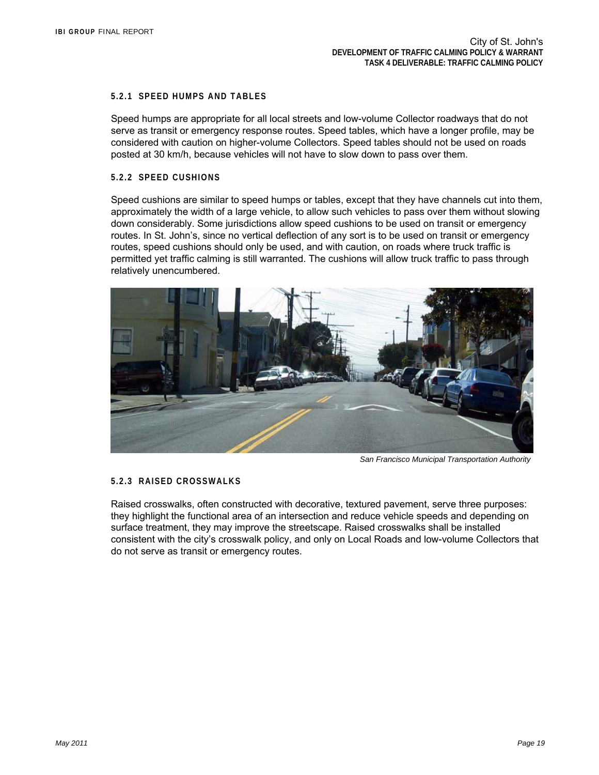### **5.2.1 SPEED HUMPS AND TABLES**

Speed humps are appropriate for all local streets and low-volume Collector roadways that do not serve as transit or emergency response routes. Speed tables, which have a longer profile, may be considered with caution on higher-volume Collectors. Speed tables should not be used on roads posted at 30 km/h, because vehicles will not have to slow down to pass over them.

### **5.2.2 SPEED CUSHIONS**

Speed cushions are similar to speed humps or tables, except that they have channels cut into them, approximately the width of a large vehicle, to allow such vehicles to pass over them without slowing down considerably. Some jurisdictions allow speed cushions to be used on transit or emergency routes. In St. John's, since no vertical deflection of any sort is to be used on transit or emergency routes, speed cushions should only be used, and with caution, on roads where truck traffic is permitted yet traffic calming is still warranted. The cushions will allow truck traffic to pass through relatively unencumbered.



 *San Francisco Municipal Transportation Authority* 

### **5.2.3 RAISED CROSSWALKS**

Raised crosswalks, often constructed with decorative, textured pavement, serve three purposes: they highlight the functional area of an intersection and reduce vehicle speeds and depending on surface treatment, they may improve the streetscape. Raised crosswalks shall be installed consistent with the city's crosswalk policy, and only on Local Roads and low-volume Collectors that do not serve as transit or emergency routes.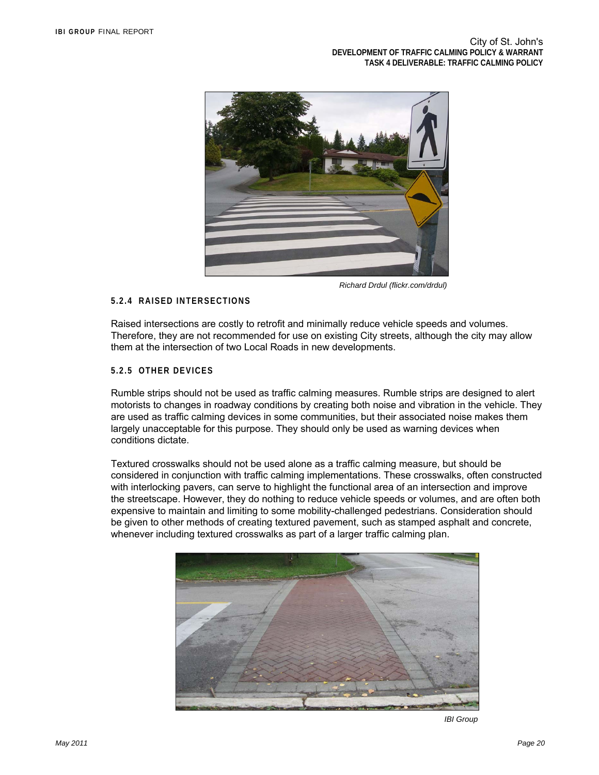

 *Richard Drdul (flickr.com/drdul)* 

### **5.2.4 RAISED INTERSECTIONS**

Raised intersections are costly to retrofit and minimally reduce vehicle speeds and volumes. Therefore, they are not recommended for use on existing City streets, although the city may allow them at the intersection of two Local Roads in new developments.

### **5.2.5 OTHER DEVICES**

Rumble strips should not be used as traffic calming measures. Rumble strips are designed to alert motorists to changes in roadway conditions by creating both noise and vibration in the vehicle. They are used as traffic calming devices in some communities, but their associated noise makes them largely unacceptable for this purpose. They should only be used as warning devices when conditions dictate.

Textured crosswalks should not be used alone as a traffic calming measure, but should be considered in conjunction with traffic calming implementations. These crosswalks, often constructed with interlocking pavers, can serve to highlight the functional area of an intersection and improve the streetscape. However, they do nothing to reduce vehicle speeds or volumes, and are often both expensive to maintain and limiting to some mobility-challenged pedestrians. Consideration should be given to other methods of creating textured pavement, such as stamped asphalt and concrete, whenever including textured crosswalks as part of a larger traffic calming plan.



*IBI Group*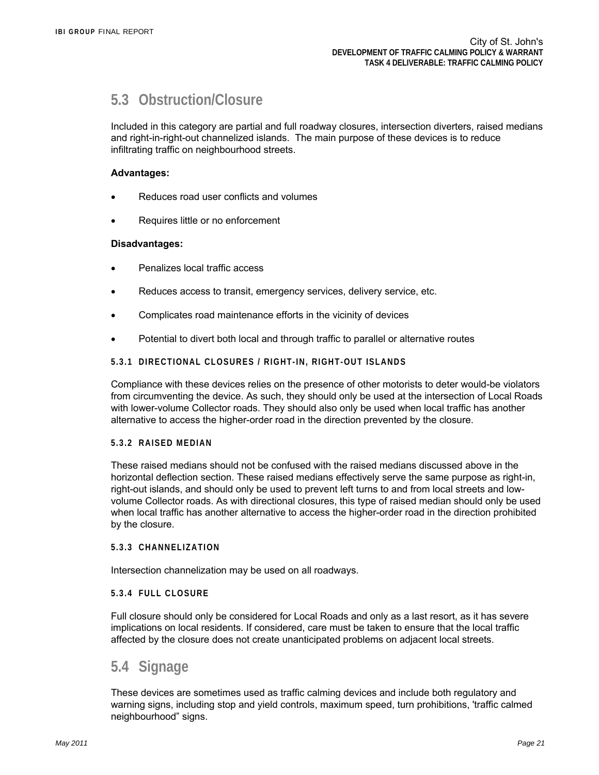## **5.3 Obstruction/Closure**

Included in this category are partial and full roadway closures, intersection diverters, raised medians and right-in-right-out channelized islands. The main purpose of these devices is to reduce infiltrating traffic on neighbourhood streets.

### **Advantages:**

- Reduces road user conflicts and volumes
- Requires little or no enforcement

### **Disadvantages:**

- Penalizes local traffic access
- Reduces access to transit, emergency services, delivery service, etc.
- Complicates road maintenance efforts in the vicinity of devices
- Potential to divert both local and through traffic to parallel or alternative routes

### **5.3.1 DIRECTIONAL CLOSURES / RIGHT-IN, RIGHT-OUT ISLANDS**

Compliance with these devices relies on the presence of other motorists to deter would-be violators from circumventing the device. As such, they should only be used at the intersection of Local Roads with lower-volume Collector roads. They should also only be used when local traffic has another alternative to access the higher-order road in the direction prevented by the closure.

### **5.3.2 RAISED MEDIAN**

These raised medians should not be confused with the raised medians discussed above in the horizontal deflection section. These raised medians effectively serve the same purpose as right-in, right-out islands, and should only be used to prevent left turns to and from local streets and lowvolume Collector roads. As with directional closures, this type of raised median should only be used when local traffic has another alternative to access the higher-order road in the direction prohibited by the closure.

#### **5.3.3 CHANNELIZATION**

Intersection channelization may be used on all roadways.

### **5.3.4 FULL CLOSURE**

Full closure should only be considered for Local Roads and only as a last resort, as it has severe implications on local residents. If considered, care must be taken to ensure that the local traffic affected by the closure does not create unanticipated problems on adjacent local streets.

## **5.4 Signage**

These devices are sometimes used as traffic calming devices and include both regulatory and warning signs, including stop and yield controls, maximum speed, turn prohibitions, 'traffic calmed neighbourhood" signs.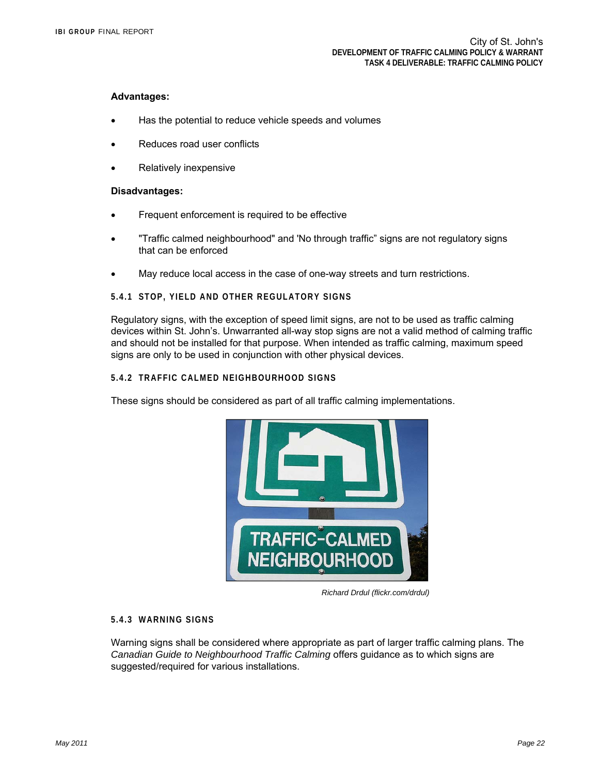### **Advantages:**

- Has the potential to reduce vehicle speeds and volumes
- Reduces road user conflicts
- Relatively inexpensive

#### **Disadvantages:**

- **•** Frequent enforcement is required to be effective
- "Traffic calmed neighbourhood" and 'No through traffic" signs are not regulatory signs that can be enforced
- May reduce local access in the case of one-way streets and turn restrictions.

### **5.4.1 STOP, YIELD AND OTHER REGULATORY SIGNS**

Regulatory signs, with the exception of speed limit signs, are not to be used as traffic calming devices within St. John's. Unwarranted all-way stop signs are not a valid method of calming traffic and should not be installed for that purpose. When intended as traffic calming, maximum speed signs are only to be used in conjunction with other physical devices.

### **5.4.2 TRAFFIC CALMED NEIGHBOURHOOD SIGNS**

These signs should be considered as part of all traffic calming implementations.



 *Richard Drdul (flickr.com/drdul)*

#### **5.4.3 WARNING SIGNS**

Warning signs shall be considered where appropriate as part of larger traffic calming plans. The *Canadian Guide to Neighbourhood Traffic Calming* offers guidance as to which signs are suggested/required for various installations.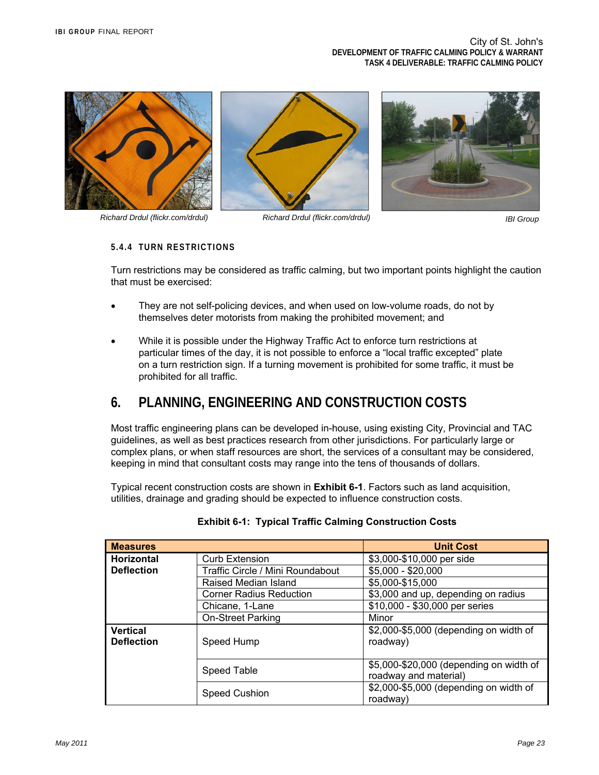





#### **5.4.4 TURN RESTRICTIONS**

Turn restrictions may be considered as traffic calming, but two important points highlight the caution that must be exercised:

- They are not self-policing devices, and when used on low-volume roads, do not by themselves deter motorists from making the prohibited movement; and
- While it is possible under the Highway Traffic Act to enforce turn restrictions at particular times of the day, it is not possible to enforce a "local traffic excepted" plate on a turn restriction sign. If a turning movement is prohibited for some traffic, it must be prohibited for all traffic.

## **6. PLANNING, ENGINEERING AND CONSTRUCTION COSTS**

Most traffic engineering plans can be developed in-house, using existing City, Provincial and TAC guidelines, as well as best practices research from other jurisdictions. For particularly large or complex plans, or when staff resources are short, the services of a consultant may be considered, keeping in mind that consultant costs may range into the tens of thousands of dollars.

Typical recent construction costs are shown in **Exhibit 6-1**. Factors such as land acquisition, utilities, drainage and grading should be expected to influence construction costs.

| <b>Measures</b>                      |                                  | <b>Unit Cost</b>                                                 |  |  |  |
|--------------------------------------|----------------------------------|------------------------------------------------------------------|--|--|--|
| <b>Horizontal</b>                    | <b>Curb Extension</b>            | \$3,000-\$10,000 per side                                        |  |  |  |
| <b>Deflection</b>                    | Traffic Circle / Mini Roundabout | $$5,000 - $20,000$                                               |  |  |  |
|                                      | Raised Median Island             | \$5,000-\$15,000                                                 |  |  |  |
|                                      | <b>Corner Radius Reduction</b>   | \$3,000 and up, depending on radius                              |  |  |  |
|                                      | Chicane, 1-Lane                  | \$10,000 - \$30,000 per series                                   |  |  |  |
|                                      | On-Street Parking                | Minor                                                            |  |  |  |
| <b>Vertical</b><br><b>Deflection</b> | Speed Hump                       | \$2,000-\$5,000 (depending on width of<br>roadway)               |  |  |  |
|                                      | Speed Table                      | \$5,000-\$20,000 (depending on width of<br>roadway and material) |  |  |  |
|                                      | Speed Cushion                    | \$2,000-\$5,000 (depending on width of<br>roadway)               |  |  |  |

| <b>Exhibit 6-1: Typical Traffic Calming Construction Costs</b> |  |
|----------------------------------------------------------------|--|
|----------------------------------------------------------------|--|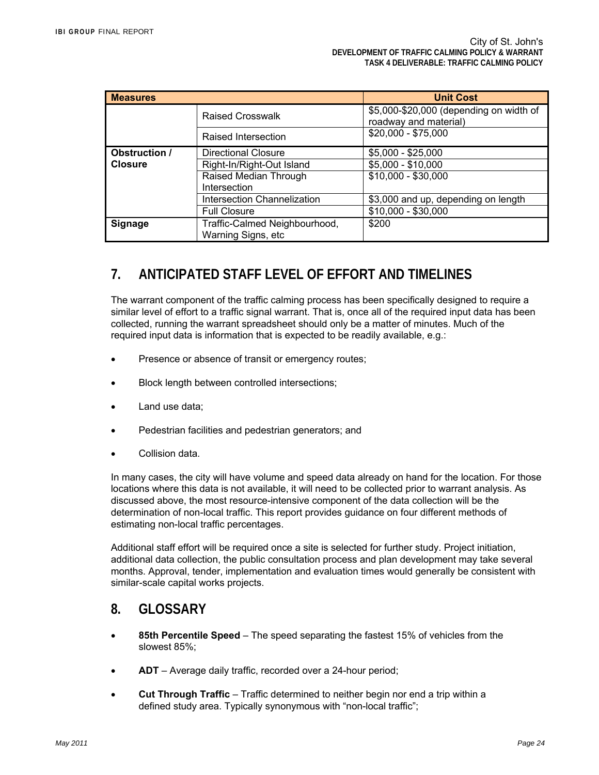| <b>Measures</b>      |                                    | <b>Unit Cost</b>                                                 |  |
|----------------------|------------------------------------|------------------------------------------------------------------|--|
|                      | <b>Raised Crosswalk</b>            | \$5,000-\$20,000 (depending on width of<br>roadway and material) |  |
|                      | Raised Intersection                | \$20,000 - \$75,000                                              |  |
| <b>Obstruction /</b> | <b>Directional Closure</b>         | $$5,000 - $25,000$                                               |  |
| <b>Closure</b>       | Right-In/Right-Out Island          | \$5,000 - \$10,000                                               |  |
|                      | Raised Median Through              | \$10,000 - \$30,000                                              |  |
|                      | Intersection                       |                                                                  |  |
|                      | <b>Intersection Channelization</b> | \$3,000 and up, depending on length                              |  |
|                      | <b>Full Closure</b>                | $$10,000 - $30,000$                                              |  |
| <b>Signage</b>       | Traffic-Calmed Neighbourhood,      | \$200                                                            |  |
|                      | Warning Signs, etc                 |                                                                  |  |

## **7. ANTICIPATED STAFF LEVEL OF EFFORT AND TIMELINES**

The warrant component of the traffic calming process has been specifically designed to require a similar level of effort to a traffic signal warrant. That is, once all of the required input data has been collected, running the warrant spreadsheet should only be a matter of minutes. Much of the required input data is information that is expected to be readily available, e.g.:

- Presence or absence of transit or emergency routes;
- Block length between controlled intersections;
- Land use data;
- Pedestrian facilities and pedestrian generators; and
- Collision data.

In many cases, the city will have volume and speed data already on hand for the location. For those locations where this data is not available, it will need to be collected prior to warrant analysis. As discussed above, the most resource-intensive component of the data collection will be the determination of non-local traffic. This report provides guidance on four different methods of estimating non-local traffic percentages.

Additional staff effort will be required once a site is selected for further study. Project initiation, additional data collection, the public consultation process and plan development may take several months. Approval, tender, implementation and evaluation times would generally be consistent with similar-scale capital works projects.

## **8. GLOSSARY**

- **85th Percentile Speed** The speed separating the fastest 15% of vehicles from the slowest 85%;
- **ADT** Average daily traffic, recorded over a 24-hour period;
- **Cut Through Traffic** Traffic determined to neither begin nor end a trip within a defined study area. Typically synonymous with "non-local traffic";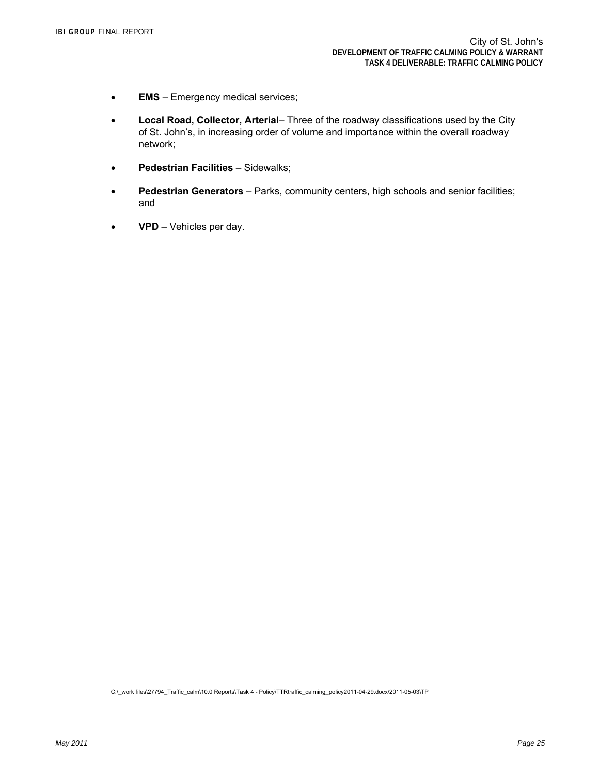- **EMS** Emergency medical services;
- **Local Road, Collector, Arterial** Three of the roadway classifications used by the City of St. John's, in increasing order of volume and importance within the overall roadway network;
- **Pedestrian Facilities** Sidewalks;
- **Pedestrian Generators** Parks, community centers, high schools and senior facilities; and
- **VPD** Vehicles per day.

C:\\_work files\27794\_Traffic\_calm\10.0 Reports\Task 4 - Policy\TTRtraffic\_calming\_policy2011-04-29.docx\2011-05-03\TP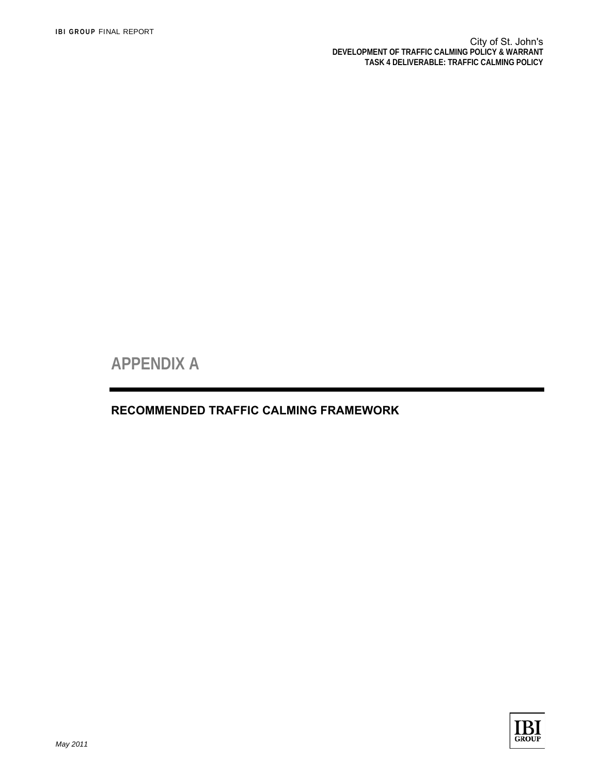**APPENDIX A** 

**RECOMMENDED TRAFFIC CALMING FRAMEWORK**

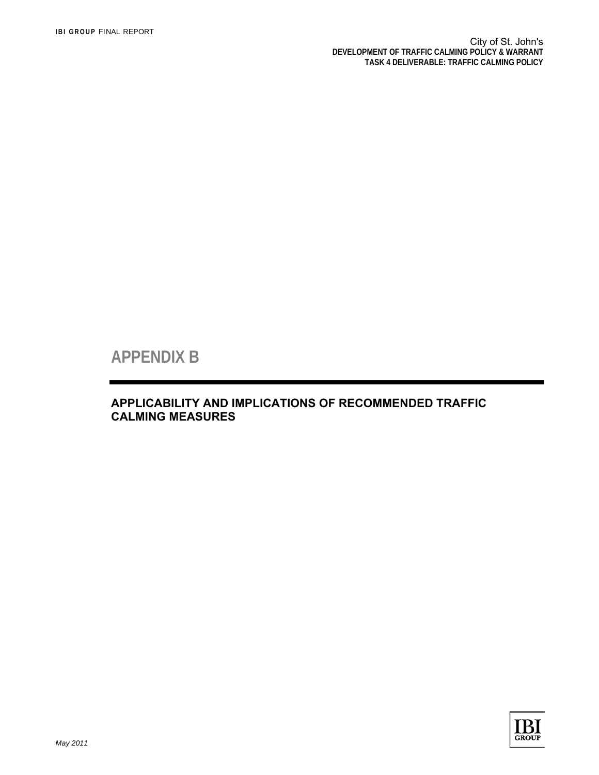**APPENDIX B** 

**APPLICABILITY AND IMPLICATIONS OF RECOMMENDED TRAFFIC CALMING MEASURES**

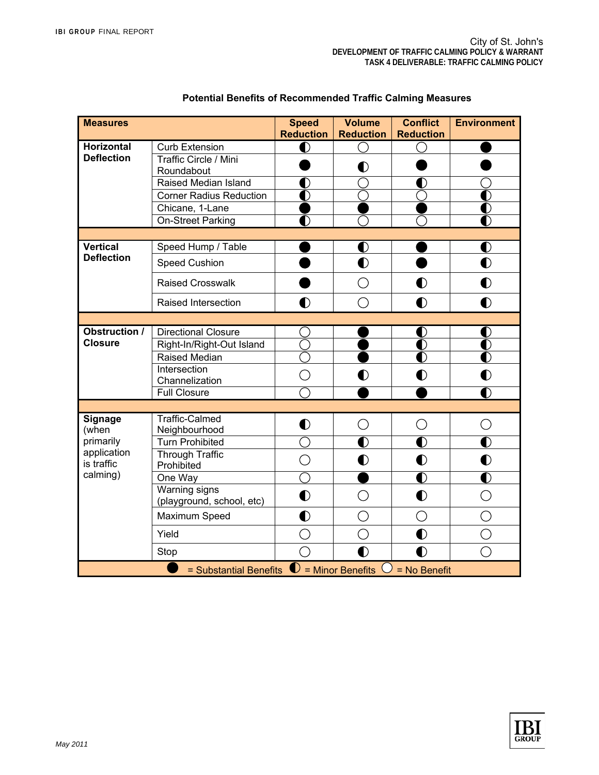| <b>Measures</b>                                                           |                                            | <b>Speed</b>     | <b>Volume</b>                                   | <b>Conflict</b>  | <b>Environment</b> |
|---------------------------------------------------------------------------|--------------------------------------------|------------------|-------------------------------------------------|------------------|--------------------|
|                                                                           |                                            | <b>Reduction</b> | <b>Reduction</b>                                | <b>Reduction</b> |                    |
| <b>Horizontal</b>                                                         | <b>Curb Extension</b>                      | Ŋ                |                                                 |                  |                    |
| <b>Deflection</b>                                                         | Traffic Circle / Mini                      |                  | $\bullet$                                       |                  |                    |
|                                                                           | Roundabout<br>Raised Median Island         |                  |                                                 |                  |                    |
|                                                                           | <b>Corner Radius Reduction</b>             |                  |                                                 |                  |                    |
|                                                                           | Chicane, 1-Lane                            |                  |                                                 |                  |                    |
|                                                                           | On-Street Parking                          |                  |                                                 |                  |                    |
|                                                                           |                                            |                  |                                                 |                  |                    |
| <b>Vertical</b>                                                           | Speed Hump / Table                         |                  | $\bullet$                                       |                  | $\bullet$          |
| <b>Deflection</b>                                                         |                                            |                  |                                                 |                  |                    |
|                                                                           | Speed Cushion                              |                  | $\bullet$                                       |                  | $\bullet$          |
|                                                                           | <b>Raised Crosswalk</b>                    |                  | $\left( \begin{array}{c} 1 \end{array} \right)$ | $\bf O$          | O                  |
|                                                                           | Raised Intersection                        | Ŋ                | r i                                             | $\bullet$        | Ŋ                  |
|                                                                           |                                            |                  |                                                 |                  |                    |
| <b>Obstruction /</b><br><b>Closure</b>                                    | <b>Directional Closure</b>                 |                  |                                                 | $\bullet$        | в                  |
|                                                                           | Right-In/Right-Out Island                  |                  |                                                 | D                |                    |
|                                                                           | Raised Median                              |                  |                                                 | Ŋ                | I)                 |
|                                                                           | Intersection<br>Channelization             | ◯                | $\bullet$                                       | $\bullet$        | $\bullet$          |
|                                                                           | <b>Full Closure</b>                        |                  |                                                 |                  | D                  |
|                                                                           |                                            |                  |                                                 |                  |                    |
| <b>Signage</b><br>(when                                                   | <b>Traffic-Calmed</b><br>Neighbourhood     | $\bullet$        | ◯                                               | ◯                | ◯                  |
| primarily<br>application<br>is traffic<br>calming)                        | <b>Turn Prohibited</b>                     |                  |                                                 | D                |                    |
|                                                                           | <b>Through Traffic</b>                     |                  |                                                 |                  |                    |
|                                                                           | Prohibited                                 |                  | $\bullet$                                       | $\bullet$        | $\mathbf 0$        |
|                                                                           | One Way                                    |                  |                                                 | $\bf O$          | D                  |
|                                                                           | Warning signs<br>(playground, school, etc) | $\bullet$        | ◯                                               | $\bullet$        | $( \ )$            |
|                                                                           | Maximum Speed                              | $\bullet$        |                                                 | ◯                |                    |
|                                                                           | Yield                                      | ◯                | ◯                                               | $\bf O$          |                    |
|                                                                           | Stop                                       | $\hat{a}$        | $\bullet$                                       | $\bf O$          |                    |
| $=$ Substantial Benefits $\bigcirc$<br>= Minor Benefits<br>$=$ No Benefit |                                            |                  |                                                 |                  |                    |

## **Potential Benefits of Recommended Traffic Calming Measures**